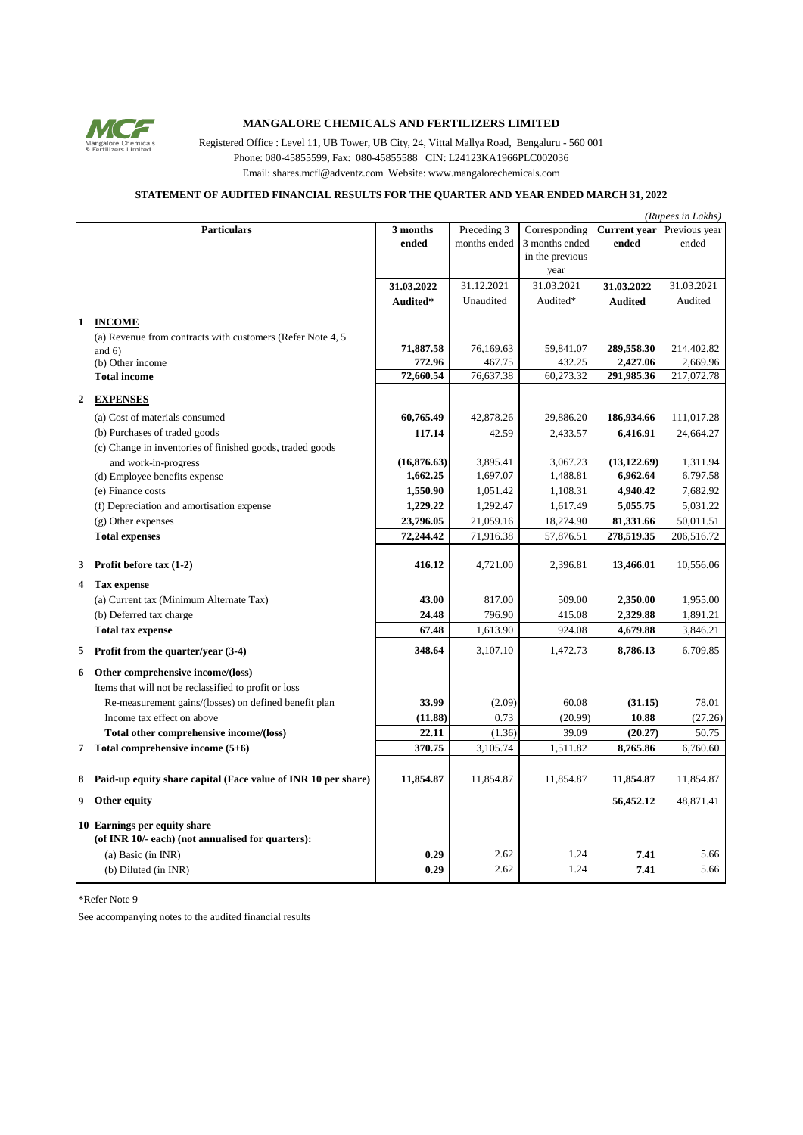

## **MANGALORE CHEMICALS AND FERTILIZERS LIMITED**

Registered Office : Level 11, UB Tower, UB City, 24, Vittal Mallya Road, Bengaluru - 560 001 Phone: 080-45855599, Fax: 080-45855588 CIN: L24123KA1966PLC002036 Email: shares.mcfl@adventz.com Website: www.mangalorechemicals.com

## **STATEMENT OF AUDITED FINANCIAL RESULTS FOR THE QUARTER AND YEAR ENDED MARCH 31, 2022**

|                         | (Rupees in Lakhs)                                                                 |             |              |                 |                     |               |  |  |
|-------------------------|-----------------------------------------------------------------------------------|-------------|--------------|-----------------|---------------------|---------------|--|--|
|                         | <b>Particulars</b>                                                                | 3 months    | Preceding 3  | Corresponding   | <b>Current</b> year | Previous year |  |  |
|                         |                                                                                   | ended       | months ended | 3 months ended  | ended               | ended         |  |  |
|                         |                                                                                   |             |              | in the previous |                     |               |  |  |
|                         |                                                                                   |             |              | year            |                     |               |  |  |
|                         |                                                                                   | 31.03.2022  | 31.12.2021   | 31.03.2021      | 31.03.2022          | 31.03.2021    |  |  |
|                         |                                                                                   | Audited*    | Unaudited    | Audited*        | <b>Audited</b>      | Audited       |  |  |
| $\mathbf{1}$            | <b>INCOME</b>                                                                     |             |              |                 |                     |               |  |  |
|                         | (a) Revenue from contracts with customers (Refer Note 4, 5                        |             |              |                 |                     |               |  |  |
|                         | and $6)$                                                                          | 71,887.58   | 76,169.63    | 59,841.07       | 289,558.30          | 214,402.82    |  |  |
|                         | (b) Other income                                                                  | 772.96      | 467.75       | 432.25          | 2,427.06            | 2,669.96      |  |  |
|                         | <b>Total income</b>                                                               | 72,660.54   | 76,637.38    | 60,273.32       | 291,985.36          | 217,072.78    |  |  |
|                         |                                                                                   |             |              |                 |                     |               |  |  |
| $\overline{2}$          | <b>EXPENSES</b>                                                                   |             |              |                 |                     |               |  |  |
|                         | (a) Cost of materials consumed                                                    | 60,765.49   | 42,878.26    | 29,886.20       | 186,934.66          | 111,017.28    |  |  |
|                         | (b) Purchases of traded goods                                                     | 117.14      | 42.59        | 2,433.57        | 6,416.91            | 24,664.27     |  |  |
|                         | (c) Change in inventories of finished goods, traded goods                         |             |              |                 |                     |               |  |  |
|                         | and work-in-progress                                                              | (16,876.63) | 3.895.41     | 3.067.23        | (13, 122.69)        | 1.311.94      |  |  |
|                         | (d) Employee benefits expense                                                     | 1,662.25    | 1,697.07     | 1,488.81        | 6,962.64            | 6,797.58      |  |  |
|                         | (e) Finance costs                                                                 | 1,550.90    | 1,051.42     | 1,108.31        | 4,940.42            | 7,682.92      |  |  |
|                         | (f) Depreciation and amortisation expense                                         | 1,229.22    | 1,292.47     | 1,617.49        | 5,055.75            | 5,031.22      |  |  |
|                         | (g) Other expenses                                                                | 23,796.05   | 21,059.16    | 18,274.90       | 81,331.66           | 50,011.51     |  |  |
|                         | <b>Total expenses</b>                                                             | 72,244.42   | 71,916.38    | 57,876.51       | 278,519.35          | 206,516.72    |  |  |
|                         |                                                                                   |             |              |                 |                     |               |  |  |
| 3                       | Profit before $tax(1-2)$                                                          | 416.12      | 4,721.00     | 2,396.81        | 13,466.01           | 10,556.06     |  |  |
| $\overline{\mathbf{4}}$ | Tax expense                                                                       |             |              |                 |                     |               |  |  |
|                         | (a) Current tax (Minimum Alternate Tax)                                           | 43.00       | 817.00       | 509.00          | 2,350.00            | 1,955.00      |  |  |
|                         | (b) Deferred tax charge                                                           | 24.48       | 796.90       | 415.08          | 2,329.88            | 1,891.21      |  |  |
|                         | <b>Total tax expense</b>                                                          | 67.48       | 1,613.90     | 924.08          | 4,679.88            | 3,846.21      |  |  |
|                         |                                                                                   |             |              |                 |                     |               |  |  |
| 5                       | Profit from the quarter/year (3-4)                                                | 348.64      | 3.107.10     | 1.472.73        | 8,786.13            | 6.709.85      |  |  |
| 6                       | Other comprehensive income/(loss)                                                 |             |              |                 |                     |               |  |  |
|                         | Items that will not be reclassified to profit or loss                             |             |              |                 |                     |               |  |  |
|                         | Re-measurement gains/(losses) on defined benefit plan                             | 33.99       | (2.09)       | 60.08           | (31.15)             | 78.01         |  |  |
|                         | Income tax effect on above                                                        | (11.88)     | 0.73         | (20.99)         | 10.88               | (27.26)       |  |  |
|                         | Total other comprehensive income/(loss)                                           | 22.11       | (1.36)       | 39.09           | (20.27)             | 50.75         |  |  |
| 7                       | Total comprehensive income $(5+6)$                                                | 370.75      | 3,105.74     | 1,511.82        | 8,765.86            | 6,760.60      |  |  |
|                         |                                                                                   |             |              |                 |                     |               |  |  |
| 8                       | Paid-up equity share capital (Face value of INR 10 per share)                     | 11,854.87   | 11,854.87    | 11,854.87       | 11,854.87           | 11,854.87     |  |  |
|                         |                                                                                   |             |              |                 |                     |               |  |  |
| 9                       | Other equity                                                                      |             |              |                 | 56,452.12           | 48,871.41     |  |  |
|                         |                                                                                   |             |              |                 |                     |               |  |  |
|                         | 10 Earnings per equity share<br>(of INR 10/- each) (not annualised for quarters): |             |              |                 |                     |               |  |  |
|                         |                                                                                   | 0.29        | 2.62         | 1.24            | 7.41                | 5.66          |  |  |
|                         | (a) Basic (in INR)                                                                | 0.29        |              |                 |                     |               |  |  |
|                         | (b) Diluted (in INR)                                                              |             | 2.62         | 1.24            | 7.41                | 5.66          |  |  |

\*Refer Note 9

See accompanying notes to the audited financial results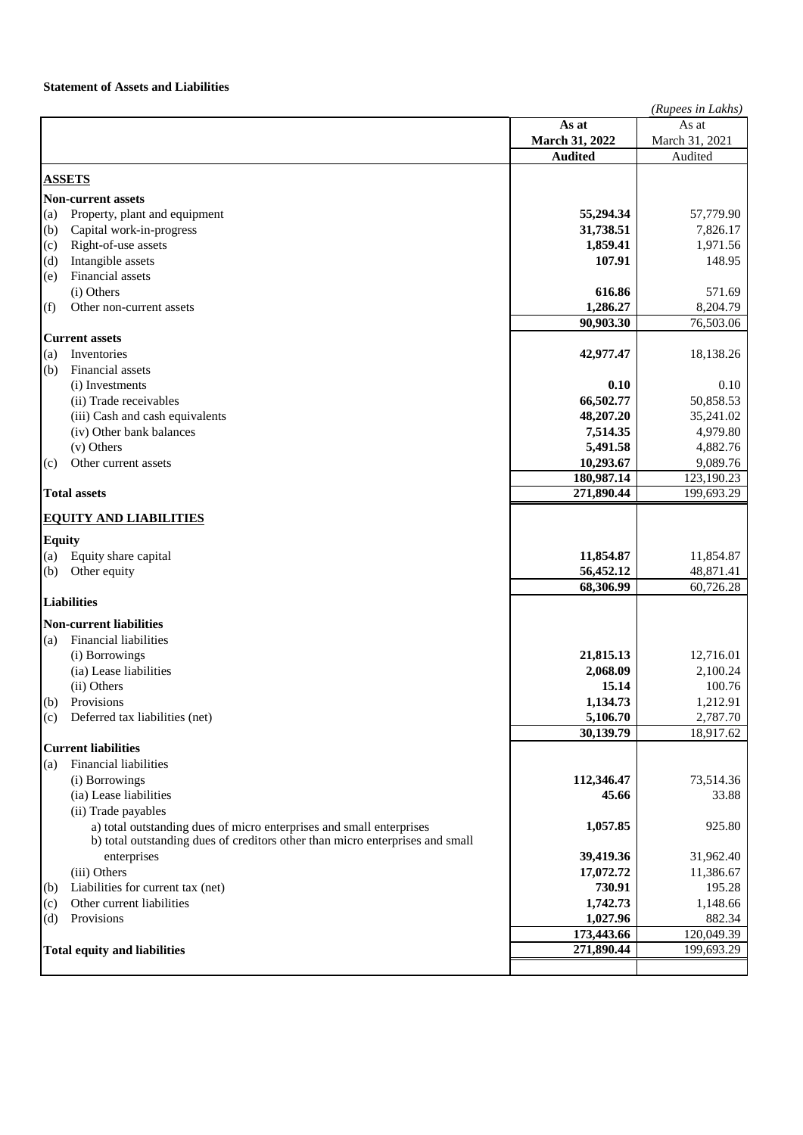## **Statement of Assets and Liabilities**

|                                     |                                                                               | (Rupees in Lakhs) |                        |
|-------------------------------------|-------------------------------------------------------------------------------|-------------------|------------------------|
|                                     |                                                                               | As at             | As at                  |
|                                     |                                                                               | March 31, 2022    | March 31, 2021         |
|                                     |                                                                               | <b>Audited</b>    | Audited                |
|                                     |                                                                               |                   |                        |
| <b>ASSETS</b>                       |                                                                               |                   |                        |
|                                     | <b>Non-current assets</b>                                                     |                   |                        |
| (a)                                 | Property, plant and equipment                                                 | 55,294.34         | 57,779.90              |
| (b)                                 | Capital work-in-progress                                                      | 31,738.51         | 7,826.17               |
| (c)                                 | Right-of-use assets                                                           | 1,859.41          | 1,971.56               |
| (d)                                 | Intangible assets                                                             | 107.91            | 148.95                 |
| (e)                                 | Financial assets                                                              |                   |                        |
|                                     | (i) Others                                                                    | 616.86            | 571.69                 |
| (f)                                 | Other non-current assets                                                      | 1,286.27          | 8,204.79               |
|                                     |                                                                               | 90,903.30         | $\overline{76},503.06$ |
|                                     | <b>Current assets</b>                                                         |                   |                        |
| (a)                                 | Inventories                                                                   | 42,977.47         | 18,138.26              |
| (b)                                 | Financial assets                                                              |                   |                        |
|                                     | (i) Investments                                                               | 0.10              | 0.10                   |
|                                     | (ii) Trade receivables                                                        | 66,502.77         | 50,858.53              |
|                                     | (iii) Cash and cash equivalents                                               | 48,207.20         | 35,241.02              |
|                                     | (iv) Other bank balances                                                      | 7,514.35          | 4,979.80               |
|                                     | (v) Others                                                                    | 5,491.58          | 4,882.76               |
| (c)                                 | Other current assets                                                          | 10,293.67         | 9,089.76               |
|                                     |                                                                               | 180,987.14        | 123,190.23             |
|                                     | <b>Total assets</b>                                                           | 271,890.44        | 199,693.29             |
|                                     |                                                                               |                   |                        |
|                                     | <b>EQUITY AND LIABILITIES</b>                                                 |                   |                        |
| <b>Equity</b>                       |                                                                               |                   |                        |
| (a)                                 | Equity share capital                                                          | 11,854.87         | 11,854.87              |
| (b)                                 | Other equity                                                                  | 56,452.12         | 48,871.41              |
|                                     |                                                                               | 68,306.99         | 60,726.28              |
|                                     | <b>Liabilities</b>                                                            |                   |                        |
|                                     | <b>Non-current liabilities</b>                                                |                   |                        |
| (a)                                 | Financial liabilities                                                         |                   |                        |
|                                     | (i) Borrowings                                                                | 21,815.13         | 12,716.01              |
|                                     | (ia) Lease liabilities                                                        | 2,068.09          | 2,100.24               |
|                                     | (ii) Others                                                                   | 15.14             | 100.76                 |
| (b)                                 | Provisions                                                                    | 1,134.73          | 1,212.91               |
| (c)                                 | Deferred tax liabilities (net)                                                | 5,106.70          | 2,787.70               |
|                                     |                                                                               | 30,139.79         | 18,917.62              |
|                                     | <b>Current liabilities</b>                                                    |                   |                        |
| (a)                                 | <b>Financial liabilities</b>                                                  |                   |                        |
|                                     | (i) Borrowings                                                                | 112,346.47        | 73,514.36              |
|                                     | (ia) Lease liabilities                                                        | 45.66             | 33.88                  |
|                                     | (ii) Trade payables                                                           |                   |                        |
|                                     | a) total outstanding dues of micro enterprises and small enterprises          | 1,057.85          | 925.80                 |
|                                     | b) total outstanding dues of creditors other than micro enterprises and small |                   |                        |
|                                     | enterprises                                                                   | 39,419.36         | 31,962.40              |
|                                     | (iii) Others                                                                  | 17,072.72         | 11,386.67              |
| (b)                                 | Liabilities for current tax (net)                                             | 730.91            | 195.28                 |
|                                     | Other current liabilities                                                     | 1,742.73          | 1,148.66               |
| (c)                                 | Provisions                                                                    | 1,027.96          | 882.34                 |
| (d)                                 |                                                                               | 173,443.66        | 120,049.39             |
| <b>Total equity and liabilities</b> |                                                                               | 271,890.44        | 199,693.29             |
|                                     |                                                                               |                   |                        |
|                                     |                                                                               |                   |                        |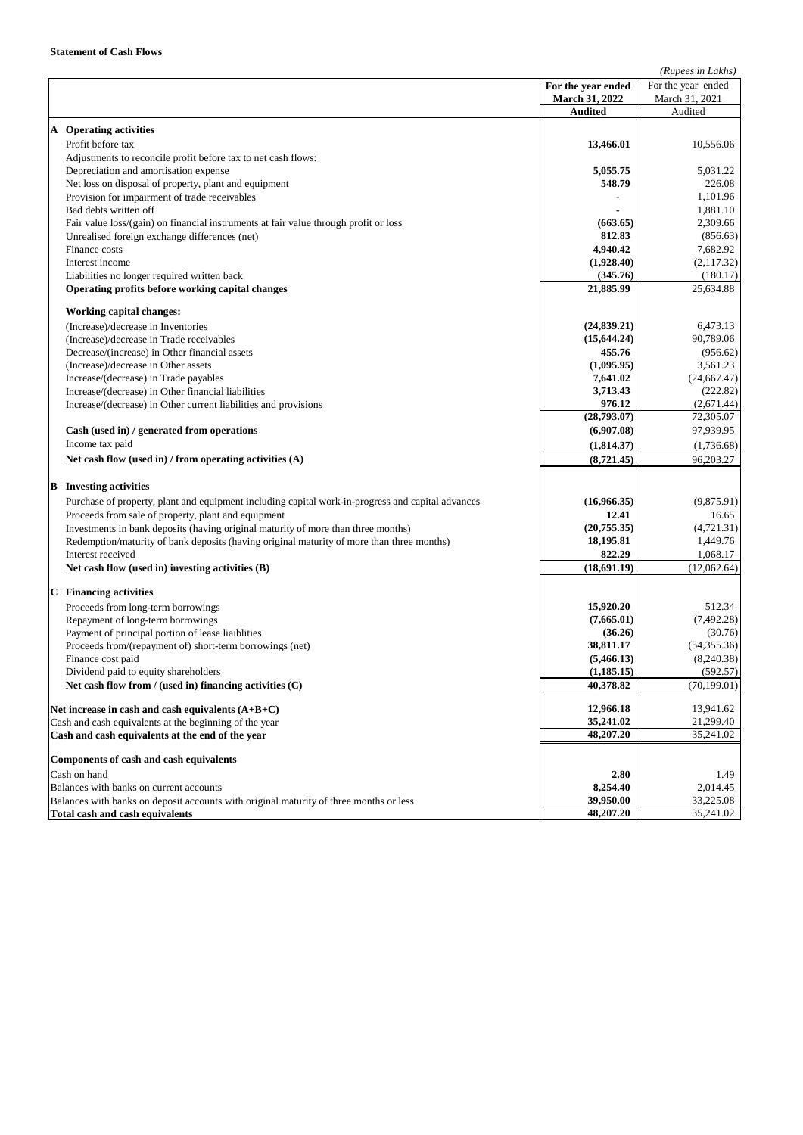|                                                                                        |                                                                                                   |                       | (Rupees in Lakhs)     |
|----------------------------------------------------------------------------------------|---------------------------------------------------------------------------------------------------|-----------------------|-----------------------|
|                                                                                        |                                                                                                   | For the year ended    | For the year ended    |
|                                                                                        |                                                                                                   | March 31, 2022        | March 31, 2021        |
|                                                                                        |                                                                                                   | <b>Audited</b>        | Audited               |
|                                                                                        | A Operating activities                                                                            |                       |                       |
|                                                                                        | Profit before tax                                                                                 | 13,466.01             | 10,556.06             |
|                                                                                        | Adjustments to reconcile profit before tax to net cash flows:                                     |                       |                       |
|                                                                                        | Depreciation and amortisation expense                                                             | 5,055.75              | 5,031.22              |
|                                                                                        | Net loss on disposal of property, plant and equipment                                             | 548.79                | 226.08                |
|                                                                                        | Provision for impairment of trade receivables                                                     |                       | 1,101.96              |
|                                                                                        | Bad debts written off                                                                             |                       | 1.881.10              |
|                                                                                        | Fair value loss/(gain) on financial instruments at fair value through profit or loss              | (663.65)              | 2,309.66              |
|                                                                                        | Unrealised foreign exchange differences (net)                                                     | 812.83                | (856.63)              |
|                                                                                        | Finance costs                                                                                     | 4,940.42              | 7,682.92              |
|                                                                                        | Interest income                                                                                   | (1,928.40)            | (2,117.32)            |
|                                                                                        | Liabilities no longer required written back                                                       | (345.76)              | (180.17)              |
|                                                                                        | Operating profits before working capital changes                                                  | 21,885.99             | 25,634.88             |
|                                                                                        |                                                                                                   |                       |                       |
|                                                                                        | <b>Working capital changes:</b>                                                                   |                       |                       |
|                                                                                        | (Increase)/decrease in Inventories                                                                | (24, 839.21)          | 6,473.13              |
|                                                                                        | (Increase)/decrease in Trade receivables                                                          | (15, 644.24)          | 90,789.06             |
|                                                                                        | Decrease/(increase) in Other financial assets                                                     | 455.76                | (956.62)              |
|                                                                                        | (Increase)/decrease in Other assets                                                               | (1,095.95)            | 3,561.23              |
|                                                                                        | Increase/(decrease) in Trade payables                                                             | 7,641.02              | (24, 667.47)          |
|                                                                                        | Increase/(decrease) in Other financial liabilities                                                | 3,713.43              | (222.82)              |
|                                                                                        | Increase/(decrease) in Other current liabilities and provisions                                   | 976.12                | (2,671.44)            |
|                                                                                        |                                                                                                   | (28,793.07)           | 72,305.07             |
|                                                                                        | Cash (used in) / generated from operations                                                        | (6,907.08)            | 97,939.95             |
|                                                                                        | Income tax paid                                                                                   | (1,814.37)            | (1,736.68)            |
|                                                                                        | Net cash flow (used in) / from operating activities $(A)$                                         | (8,721.45)            | 96,203.27             |
|                                                                                        |                                                                                                   |                       |                       |
|                                                                                        | <b>B</b> Investing activities                                                                     |                       |                       |
|                                                                                        | Purchase of property, plant and equipment including capital work-in-progress and capital advances | (16,966.35)           | (9,875.91)            |
|                                                                                        | Proceeds from sale of property, plant and equipment                                               | 12.41                 | 16.65                 |
|                                                                                        | Investments in bank deposits (having original maturity of more than three months)                 | (20,755.35)           | (4,721.31)            |
|                                                                                        | Redemption/maturity of bank deposits (having original maturity of more than three months)         | 18,195.81             | 1,449.76              |
|                                                                                        | Interest received                                                                                 | 822.29                | 1,068.17              |
|                                                                                        | Net cash flow (used in) investing activities (B)                                                  | (18,691.19)           | (12,062.64)           |
|                                                                                        |                                                                                                   |                       |                       |
|                                                                                        | <b>C</b> Financing activities                                                                     |                       |                       |
|                                                                                        | Proceeds from long-term borrowings                                                                | 15,920.20             | 512.34<br>(7, 492.28) |
|                                                                                        | Repayment of long-term borrowings<br>Payment of principal portion of lease liaiblities            | (7,665.01)<br>(36.26) | (30.76)               |
|                                                                                        |                                                                                                   | 38,811.17             | (54, 355.36)          |
|                                                                                        | Proceeds from/(repayment of) short-term borrowings (net)                                          | (5,466.13)            | (8,240.38)            |
|                                                                                        | Finance cost paid<br>Dividend paid to equity shareholders                                         | (1, 185.15)           | (592.57)              |
|                                                                                        | Net cash flow from / (used in) financing activities $(C)$                                         | 40,378.82             | (70, 199.01)          |
|                                                                                        |                                                                                                   |                       |                       |
|                                                                                        | Net increase in cash and cash equivalents (A+B+C)                                                 | 12,966.18             | 13,941.62             |
| Cash and cash equivalents at the beginning of the year                                 |                                                                                                   | 35,241.02             | 21,299.40             |
|                                                                                        | Cash and cash equivalents at the end of the year                                                  | 48,207.20             | 35,241.02             |
|                                                                                        |                                                                                                   |                       |                       |
|                                                                                        | <b>Components of cash and cash equivalents</b>                                                    |                       |                       |
| Cash on hand                                                                           |                                                                                                   | 2.80                  | 1.49                  |
| Balances with banks on current accounts                                                |                                                                                                   | 8,254.40              | 2,014.45              |
| Balances with banks on deposit accounts with original maturity of three months or less |                                                                                                   | 39,950.00             | 33,225.08             |
| <b>Total cash and cash equivalents</b>                                                 |                                                                                                   | 48,207.20             | 35,241.02             |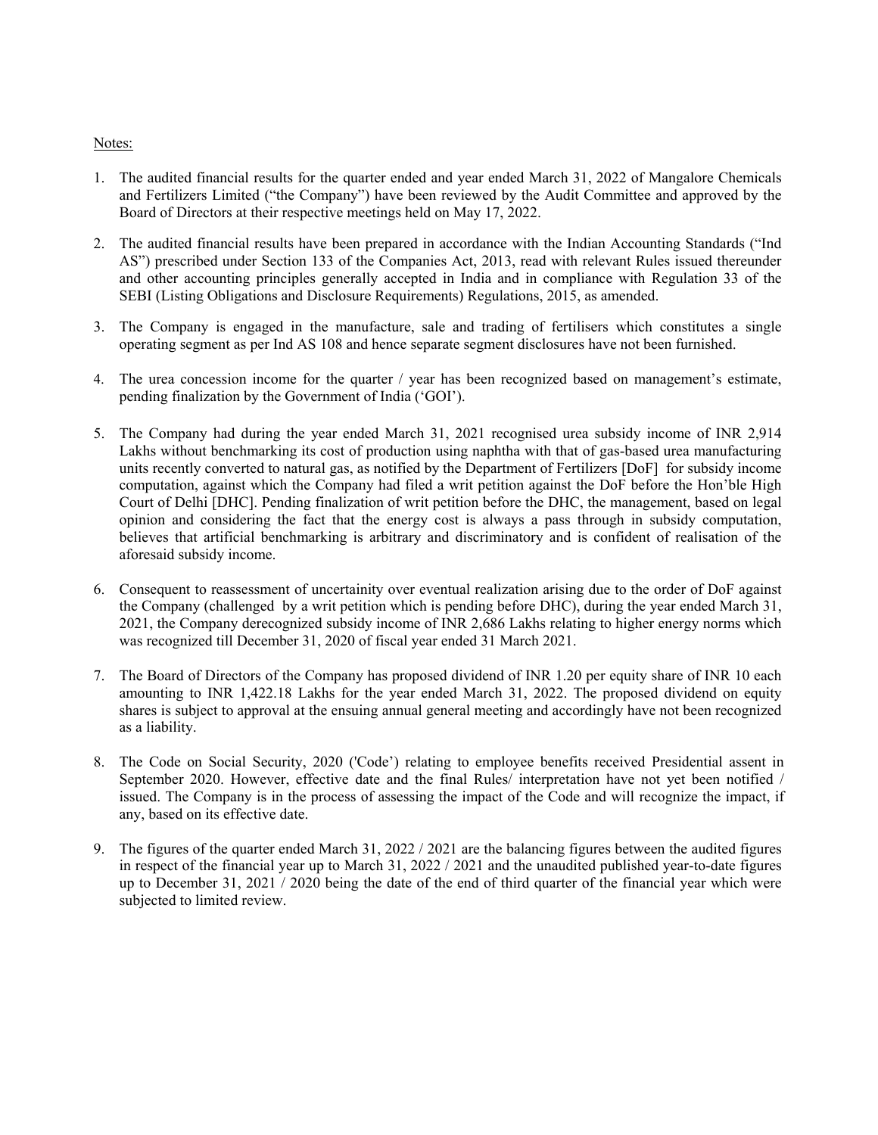## Notes:

- 1. The audited financial results for the quarter ended and year ended March 31, 2022 of Mangalore Chemicals and Fertilizers Limited ("the Company") have been reviewed by the Audit Committee and approved by the Board of Directors at their respective meetings held on May 17, 2022.
- 2. The audited financial results have been prepared in accordance with the Indian Accounting Standards ("Ind AS") prescribed under Section 133 of the Companies Act, 2013, read with relevant Rules issued thereunder and other accounting principles generally accepted in India and in compliance with Regulation 33 of the SEBI (Listing Obligations and Disclosure Requirements) Regulations, 2015, as amended.
- 3. The Company is engaged in the manufacture, sale and trading of fertilisers which constitutes a single operating segment as per Ind AS 108 and hence separate segment disclosures have not been furnished.
- 4. The urea concession income for the quarter / year has been recognized based on management's estimate, pending finalization by the Government of India ('GOI').
- 5. The Company had during the year ended March 31, 2021 recognised urea subsidy income of INR 2,914 Lakhs without benchmarking its cost of production using naphtha with that of gas-based urea manufacturing units recently converted to natural gas, as notified by the Department of Fertilizers [DoF] for subsidy income computation, against which the Company had filed a writ petition against the DoF before the Hon'ble High Court of Delhi [DHC]. Pending finalization of writ petition before the DHC, the management, based on legal opinion and considering the fact that the energy cost is always a pass through in subsidy computation, believes that artificial benchmarking is arbitrary and discriminatory and is confident of realisation of the aforesaid subsidy income.
- 6. Consequent to reassessment of uncertainity over eventual realization arising due to the order of DoF against the Company (challenged by a writ petition which is pending before DHC), during the year ended March 31, 2021, the Company derecognized subsidy income of INR 2,686 Lakhs relating to higher energy norms which was recognized till December 31, 2020 of fiscal year ended 31 March 2021.
- 7. The Board of Directors of the Company has proposed dividend of INR 1.20 per equity share of INR 10 each amounting to INR 1,422.18 Lakhs for the year ended March 31, 2022. The proposed dividend on equity shares is subject to approval at the ensuing annual general meeting and accordingly have not been recognized as a liability.
- 8. The Code on Social Security, 2020 ('Code') relating to employee benefits received Presidential assent in September 2020. However, effective date and the final Rules/ interpretation have not yet been notified / issued. The Company is in the process of assessing the impact of the Code and will recognize the impact, if any, based on its effective date.
- 9. The figures of the quarter ended March 31, 2022 / 2021 are the balancing figures between the audited figures in respect of the financial year up to March 31, 2022 / 2021 and the unaudited published year-to-date figures up to December 31, 2021 / 2020 being the date of the end of third quarter of the financial year which were subjected to limited review.